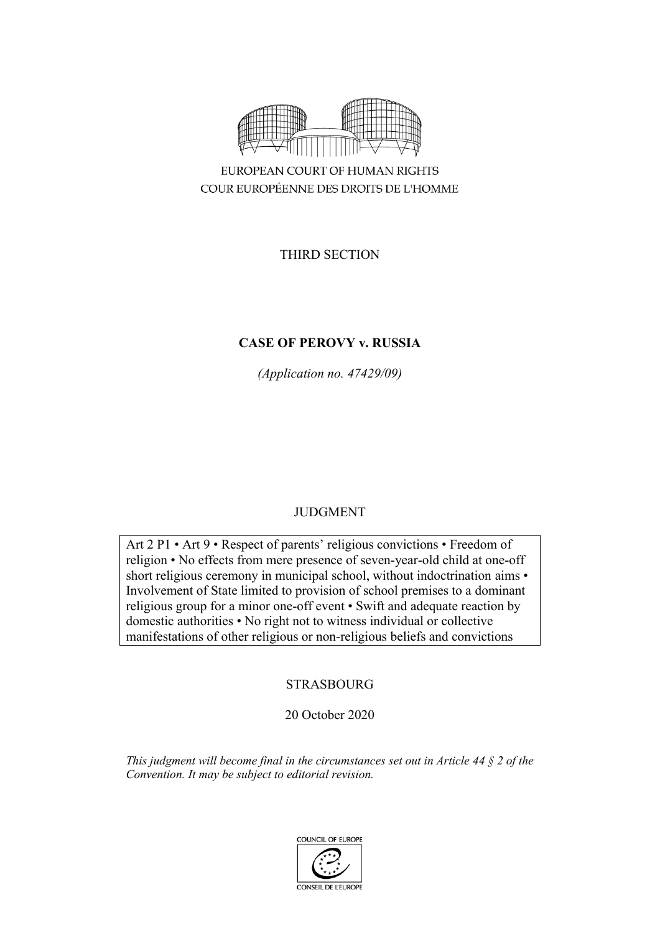

COUR EUROPÉENNE DES DROITS DE L'HOMME

THIRD SECTION

# **CASE OF PEROVY v. RUSSIA**

*(Application no. 47429/09)*

# JUDGMENT

Art 2 P1 • Art 9 • Respect of parents' religious convictions • Freedom of religion • No effects from mere presence of seven-year-old child at one-off short religious ceremony in municipal school, without indoctrination aims • Involvement of State limited to provision of school premises to a dominant religious group for a minor one-off event • Swift and adequate reaction by domestic authorities • No right not to witness individual or collective manifestations of other religious or non-religious beliefs and convictions

# STRASBOURG

# 20 October 2020

*This judgment will become final in the circumstances set out in Article 44 § 2 of the Convention. It may be subject to editorial revision.*

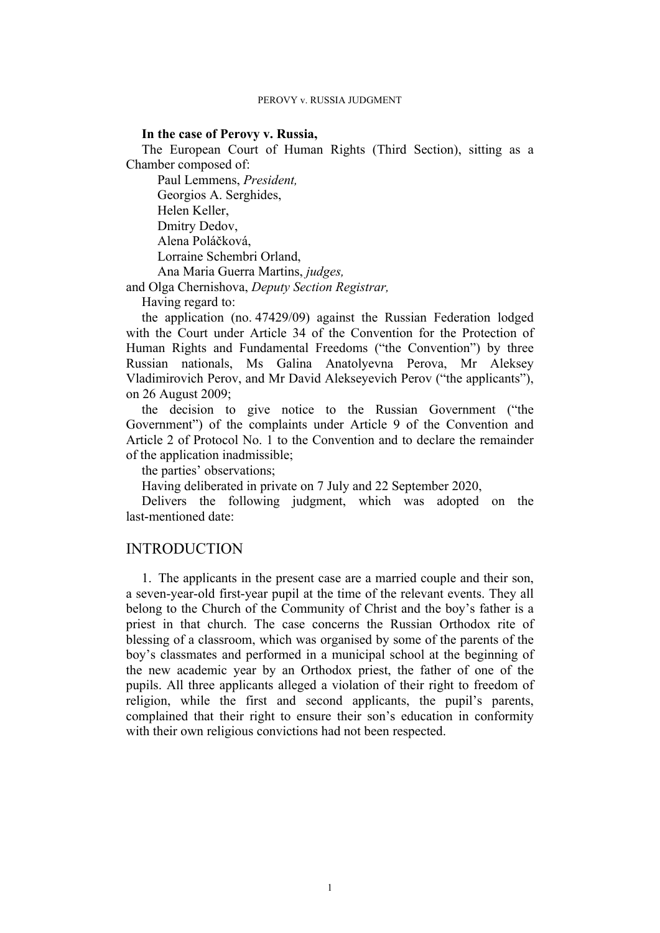## **In the case of Perovy v. Russia,**

The European Court of Human Rights (Third Section), sitting as a Chamber composed of:

Paul Lemmens, *President,* Georgios A. Serghides, Helen Keller, Dmitry Dedov, Alena Poláčková, Lorraine Schembri Orland, Ana Maria Guerra Martins, *judges,*

and Olga Chernishova, *Deputy Section Registrar,*

Having regard to:

the application (no. 47429/09) against the Russian Federation lodged with the Court under Article 34 of the Convention for the Protection of Human Rights and Fundamental Freedoms ("the Convention") by three Russian nationals, Ms Galina Anatolyevna Perova, Mr Aleksey Vladimirovich Perov, and Mr David Alekseyevich Perov ("the applicants"), on 26 August 2009;

the decision to give notice to the Russian Government ("the Government") of the complaints under Article 9 of the Convention and Article 2 of Protocol No. 1 to the Convention and to declare the remainder of the application inadmissible;

the parties' observations;

Having deliberated in private on 7 July and 22 September 2020,

Delivers the following judgment, which was adopted on the last-mentioned date:

# INTRODUCTION

1. The applicants in the present case are a married couple and their son, a seven-year-old first-year pupil at the time of the relevant events. They all belong to the Church of the Community of Christ and the boy's father is a priest in that church. The case concerns the Russian Orthodox rite of blessing of a classroom, which was organised by some of the parents of the boy's classmates and performed in a municipal school at the beginning of the new academic year by an Orthodox priest, the father of one of the pupils. All three applicants alleged a violation of their right to freedom of religion, while the first and second applicants, the pupil's parents, complained that their right to ensure their son's education in conformity with their own religious convictions had not been respected.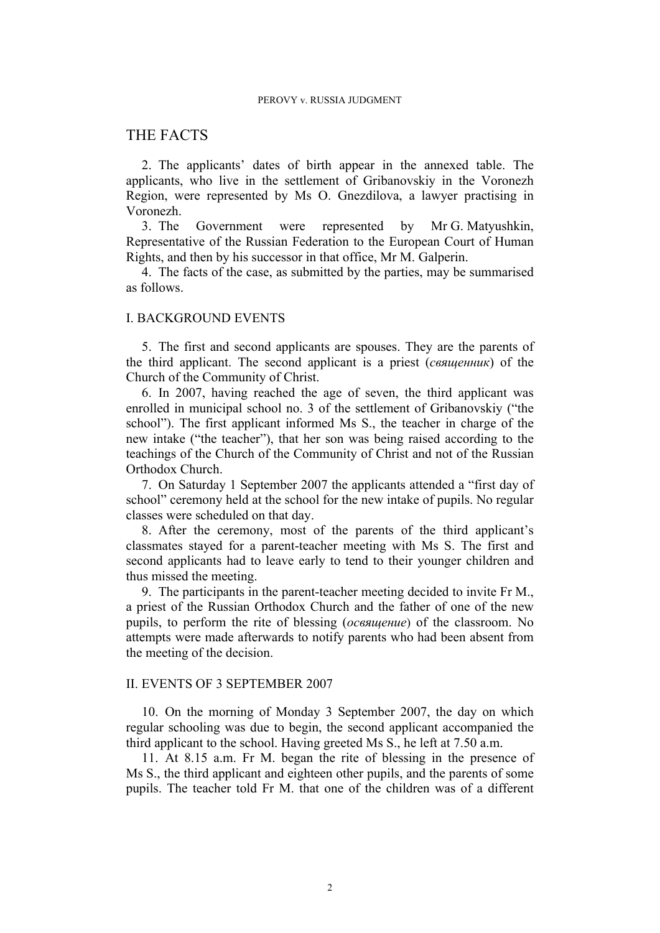# THE FACTS

2. The applicants' dates of birth appear in the annexed table. The applicants, who live in the settlement of Gribanovskiy in the Voronezh Region, were represented by Ms O. Gnezdilova, a lawyer practising in Voronezh.

3. The Government were represented by Mr G. Matyushkin, Representative of the Russian Federation to the European Court of Human Rights, and then by his successor in that office, Mr M. Galperin.

4. The facts of the case, as submitted by the parties, may be summarised as follows.

## I. BACKGROUND EVENTS

5. The first and second applicants are spouses. They are the parents of the third applicant. The second applicant is a priest (*cвященник*) of the Church of the Community of Christ.

6. In 2007, having reached the age of seven, the third applicant was enrolled in municipal school no. 3 of the settlement of Gribanovskiy ("the school"). The first applicant informed Ms S., the teacher in charge of the new intake ("the teacher"), that her son was being raised according to the teachings of the Church of the Community of Christ and not of the Russian Orthodox Church.

7. On Saturday 1 September 2007 the applicants attended a "first day of school" ceremony held at the school for the new intake of pupils. No regular classes were scheduled on that day.

8. After the ceremony, most of the parents of the third applicant's classmates stayed for a parent-teacher meeting with Ms S. The first and second applicants had to leave early to tend to their younger children and thus missed the meeting.

9. The participants in the parent-teacher meeting decided to invite Fr M., a priest of the Russian Orthodox Church and the father of one of the new pupils, to perform the rite of blessing (*освящение*) of the classroom. No attempts were made afterwards to notify parents who had been absent from the meeting of the decision.

## II. EVENTS OF 3 SEPTEMBER 2007

10. On the morning of Monday 3 September 2007, the day on which regular schooling was due to begin, the second applicant accompanied the third applicant to the school. Having greeted Ms S., he left at 7.50 a.m.

11. At 8.15 a.m. Fr M. began the rite of blessing in the presence of Ms S., the third applicant and eighteen other pupils, and the parents of some pupils. The teacher told Fr M. that one of the children was of a different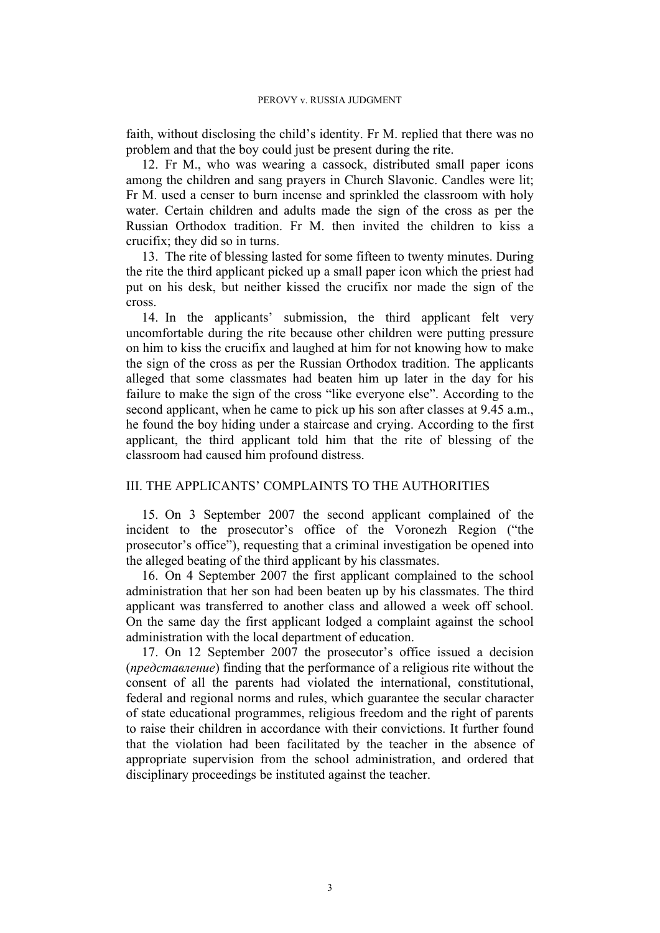faith, without disclosing the child's identity. Fr M. replied that there was no problem and that the boy could just be present during the rite.

12. Fr M., who was wearing a cassock, distributed small paper icons among the children and sang prayers in Church Slavonic. Candles were lit; Fr M. used a censer to burn incense and sprinkled the classroom with holy water. Certain children and adults made the sign of the cross as per the Russian Orthodox tradition. Fr M. then invited the children to kiss a crucifix; they did so in turns.

13. The rite of blessing lasted for some fifteen to twenty minutes. During the rite the third applicant picked up a small paper icon which the priest had put on his desk, but neither kissed the crucifix nor made the sign of the cross.

14. In the applicants' submission, the third applicant felt very uncomfortable during the rite because other children were putting pressure on him to kiss the crucifix and laughed at him for not knowing how to make the sign of the cross as per the Russian Orthodox tradition. The applicants alleged that some classmates had beaten him up later in the day for his failure to make the sign of the cross "like everyone else". According to the second applicant, when he came to pick up his son after classes at 9.45 a.m., he found the boy hiding under a staircase and crying. According to the first applicant, the third applicant told him that the rite of blessing of the classroom had caused him profound distress.

# III. THE APPLICANTS' COMPLAINTS TO THE AUTHORITIES

15. On 3 September 2007 the second applicant complained of the incident to the prosecutor's office of the Voronezh Region ("the prosecutor's office"), requesting that a criminal investigation be opened into the alleged beating of the third applicant by his classmates.

16. On 4 September 2007 the first applicant complained to the school administration that her son had been beaten up by his classmates. The third applicant was transferred to another class and allowed a week off school. On the same day the first applicant lodged a complaint against the school administration with the local department of education.

17. On 12 September 2007 the prosecutor's office issued a decision (*представление*) finding that the performance of a religious rite without the consent of all the parents had violated the international, constitutional, federal and regional norms and rules, which guarantee the secular character of state educational programmes, religious freedom and the right of parents to raise their children in accordance with their convictions. It further found that the violation had been facilitated by the teacher in the absence of appropriate supervision from the school administration, and ordered that disciplinary proceedings be instituted against the teacher.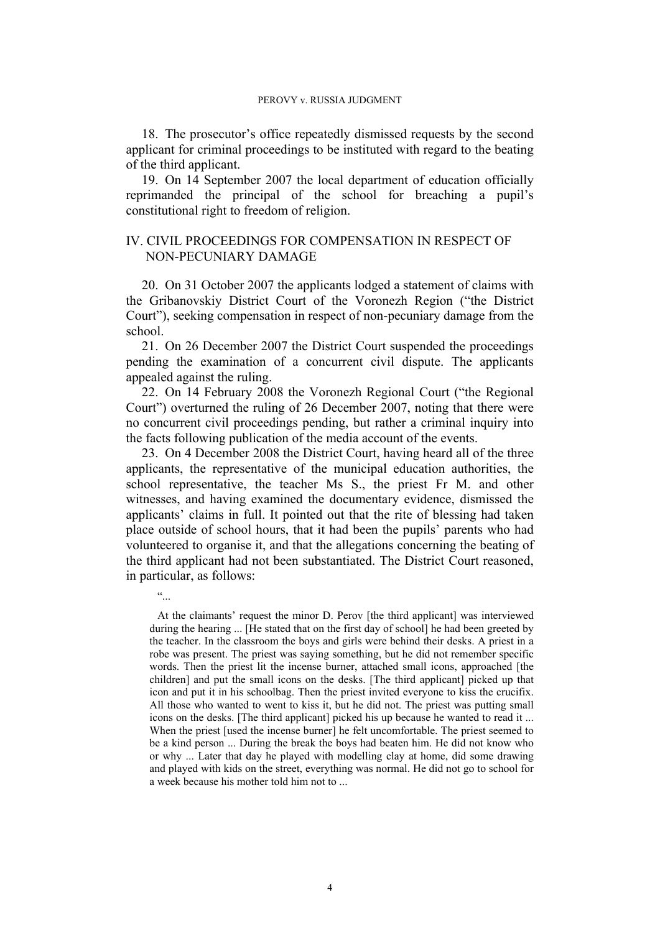18. The prosecutor's office repeatedly dismissed requests by the second applicant for criminal proceedings to be instituted with regard to the beating of the third applicant.

19. On 14 September 2007 the local department of education officially reprimanded the principal of the school for breaching a pupil's constitutional right to freedom of religion.

# IV. CIVIL PROCEEDINGS FOR COMPENSATION IN RESPECT OF NON-PECUNIARY DAMAGE

20. On 31 October 2007 the applicants lodged a statement of claims with the Gribanovskiy District Court of the Voronezh Region ("the District Court"), seeking compensation in respect of non-pecuniary damage from the school.

21. On 26 December 2007 the District Court suspended the proceedings pending the examination of a concurrent civil dispute. The applicants appealed against the ruling.

22. On 14 February 2008 the Voronezh Regional Court ("the Regional Court") overturned the ruling of 26 December 2007, noting that there were no concurrent civil proceedings pending, but rather a criminal inquiry into the facts following publication of the media account of the events.

23. On 4 December 2008 the District Court, having heard all of the three applicants, the representative of the municipal education authorities, the school representative, the teacher Ms S., the priest Fr M. and other witnesses, and having examined the documentary evidence, dismissed the applicants' claims in full. It pointed out that the rite of blessing had taken place outside of school hours, that it had been the pupils' parents who had volunteered to organise it, and that the allegations concerning the beating of the third applicant had not been substantiated. The District Court reasoned, in particular, as follows:

"...

At the claimants' request the minor D. Perov [the third applicant] was interviewed during the hearing ... [He stated that on the first day of school] he had been greeted by the teacher. In the classroom the boys and girls were behind their desks. A priest in a robe was present. The priest was saying something, but he did not remember specific words. Then the priest lit the incense burner, attached small icons, approached [the children] and put the small icons on the desks. [The third applicant] picked up that icon and put it in his schoolbag. Then the priest invited everyone to kiss the crucifix. All those who wanted to went to kiss it, but he did not. The priest was putting small icons on the desks. [The third applicant] picked his up because he wanted to read it ... When the priest [used the incense burner] he felt uncomfortable. The priest seemed to be a kind person ... During the break the boys had beaten him. He did not know who or why ... Later that day he played with modelling clay at home, did some drawing and played with kids on the street, everything was normal. He did not go to school for a week because his mother told him not to ...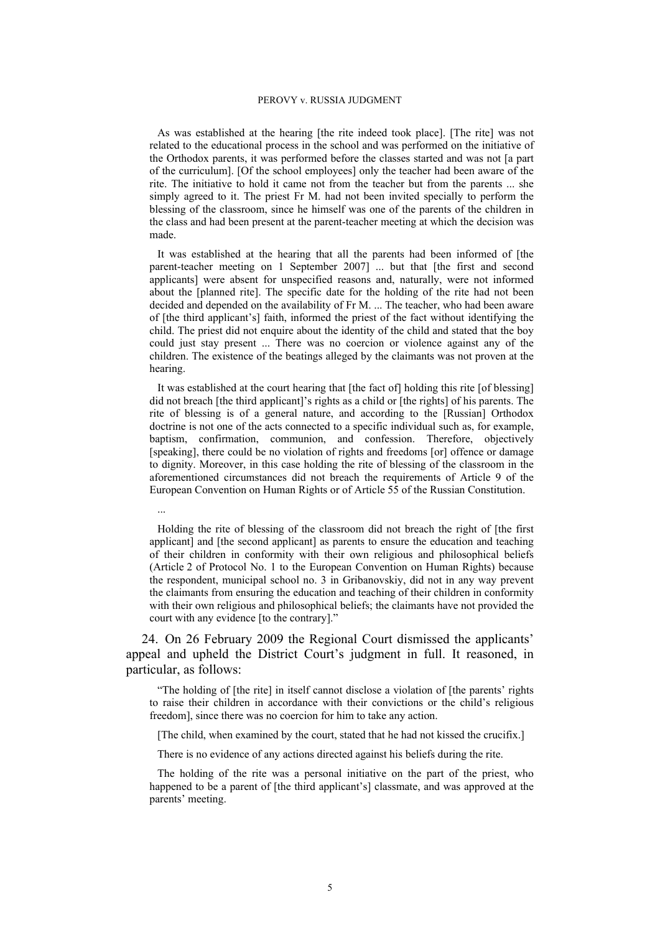As was established at the hearing [the rite indeed took place]. [The rite] was not related to the educational process in the school and was performed on the initiative of the Orthodox parents, it was performed before the classes started and was not [a part of the curriculum]. [Of the school employees] only the teacher had been aware of the rite. The initiative to hold it came not from the teacher but from the parents ... she simply agreed to it. The priest Fr M. had not been invited specially to perform the blessing of the classroom, since he himself was one of the parents of the children in the class and had been present at the parent-teacher meeting at which the decision was made.

It was established at the hearing that all the parents had been informed of [the parent-teacher meeting on 1 September 2007] ... but that [the first and second applicants] were absent for unspecified reasons and, naturally, were not informed about the [planned rite]. The specific date for the holding of the rite had not been decided and depended on the availability of Fr M. ... The teacher, who had been aware of [the third applicant's] faith, informed the priest of the fact without identifying the child. The priest did not enquire about the identity of the child and stated that the boy could just stay present ... There was no coercion or violence against any of the children. The existence of the beatings alleged by the claimants was not proven at the hearing.

It was established at the court hearing that [the fact of] holding this rite [of blessing] did not breach [the third applicant]'s rights as a child or [the rights] of his parents. The rite of blessing is of a general nature, and according to the [Russian] Orthodox doctrine is not one of the acts connected to a specific individual such as, for example, baptism, confirmation, communion, and confession. Therefore, objectively [speaking], there could be no violation of rights and freedoms [or] offence or damage to dignity. Moreover, in this case holding the rite of blessing of the classroom in the aforementioned circumstances did not breach the requirements of Article 9 of the European Convention on Human Rights or of Article 55 of the Russian Constitution.

Holding the rite of blessing of the classroom did not breach the right of [the first applicant] and [the second applicant] as parents to ensure the education and teaching of their children in conformity with their own religious and philosophical beliefs (Article 2 of Protocol No. 1 to the European Convention on Human Rights) because the respondent, municipal school no. 3 in Gribanovskiy, did not in any way prevent the claimants from ensuring the education and teaching of their children in conformity with their own religious and philosophical beliefs; the claimants have not provided the court with any evidence [to the contrary]."

...

24. On 26 February 2009 the Regional Court dismissed the applicants' appeal and upheld the District Court's judgment in full. It reasoned, in particular, as follows:

"The holding of [the rite] in itself cannot disclose a violation of [the parents' rights to raise their children in accordance with their convictions or the child's religious freedom], since there was no coercion for him to take any action.

[The child, when examined by the court, stated that he had not kissed the crucifix.]

There is no evidence of any actions directed against his beliefs during the rite.

The holding of the rite was a personal initiative on the part of the priest, who happened to be a parent of [the third applicant's] classmate, and was approved at the parents' meeting.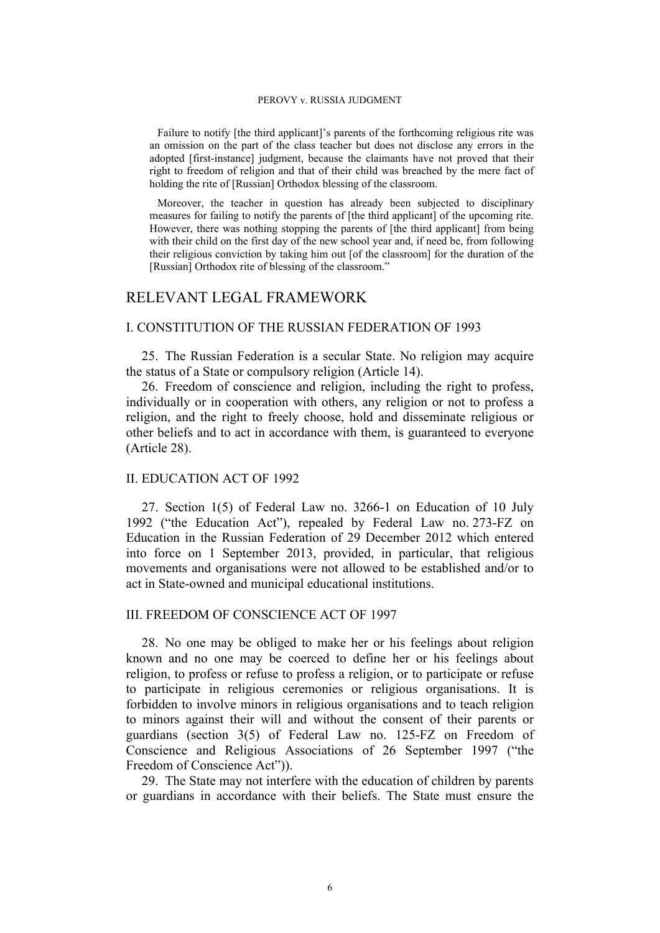Failure to notify [the third applicant]'s parents of the forthcoming religious rite was an omission on the part of the class teacher but does not disclose any errors in the adopted [first-instance] judgment, because the claimants have not proved that their right to freedom of religion and that of their child was breached by the mere fact of holding the rite of [Russian] Orthodox blessing of the classroom.

Moreover, the teacher in question has already been subjected to disciplinary measures for failing to notify the parents of [the third applicant] of the upcoming rite. However, there was nothing stopping the parents of [the third applicant] from being with their child on the first day of the new school year and, if need be, from following their religious conviction by taking him out [of the classroom] for the duration of the [Russian] Orthodox rite of blessing of the classroom."

# RELEVANT LEGAL FRAMEWORK

## I. CONSTITUTION OF THE RUSSIAN FEDERATION OF 1993

25. The Russian Federation is a secular State. No religion may acquire the status of a State or compulsory religion (Article 14).

26. Freedom of conscience and religion, including the right to profess, individually or in cooperation with others, any religion or not to profess a religion, and the right to freely choose, hold and disseminate religious or other beliefs and to act in accordance with them, is guaranteed to everyone (Article 28).

# II. EDUCATION ACT OF 1992

27. Section 1(5) of Federal Law no. 3266-1 on Education of 10 July 1992 ("the Education Act"), repealed by Federal Law no. 273-FZ on Education in the Russian Federation of 29 December 2012 which entered into force on 1 September 2013, provided, in particular, that religious movements and organisations were not allowed to be established and/or to act in State-owned and municipal educational institutions.

# III. FREEDOM OF CONSCIENCE ACT OF 1997

28. No one may be obliged to make her or his feelings about religion known and no one may be coerced to define her or his feelings about religion, to profess or refuse to profess a religion, or to participate or refuse to participate in religious ceremonies or religious organisations. It is forbidden to involve minors in religious organisations and to teach religion to minors against their will and without the consent of their parents or guardians (section 3(5) of Federal Law no. 125-FZ on Freedom of Conscience and Religious Associations of 26 September 1997 ("the Freedom of Conscience Act")).

29. The State may not interfere with the education of children by parents or guardians in accordance with their beliefs. The State must ensure the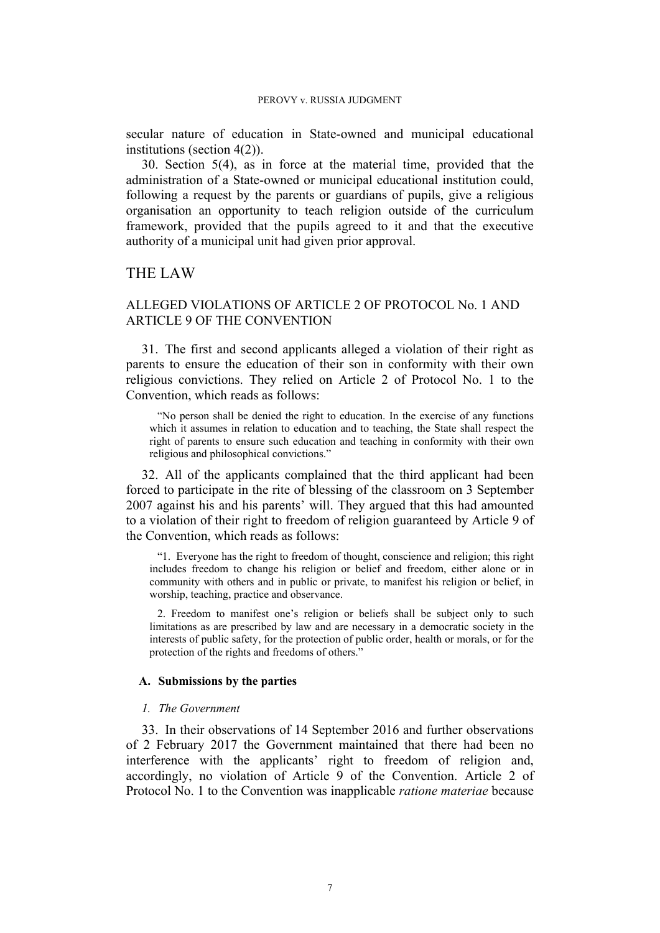secular nature of education in State-owned and municipal educational institutions (section 4(2)).

30. Section 5(4), as in force at the material time, provided that the administration of a State-owned or municipal educational institution could, following a request by the parents or guardians of pupils, give a religious organisation an opportunity to teach religion outside of the curriculum framework, provided that the pupils agreed to it and that the executive authority of a municipal unit had given prior approval.

# THE LAW

# ALLEGED VIOLATIONS OF ARTICLE 2 OF PROTOCOL No. 1 AND ARTICLE 9 OF THE CONVENTION

31. The first and second applicants alleged a violation of their right as parents to ensure the education of their son in conformity with their own religious convictions. They relied on Article 2 of Protocol No. 1 to the Convention, which reads as follows:

"No person shall be denied the right to education. In the exercise of any functions which it assumes in relation to education and to teaching, the State shall respect the right of parents to ensure such education and teaching in conformity with their own religious and philosophical convictions."

32. All of the applicants complained that the third applicant had been forced to participate in the rite of blessing of the classroom on 3 September 2007 against his and his parents' will. They argued that this had amounted to a violation of their right to freedom of religion guaranteed by Article 9 of the Convention, which reads as follows:

"1. Everyone has the right to freedom of thought, conscience and religion; this right includes freedom to change his religion or belief and freedom, either alone or in community with others and in public or private, to manifest his religion or belief, in worship, teaching, practice and observance.

2. Freedom to manifest one's religion or beliefs shall be subject only to such limitations as are prescribed by law and are necessary in a democratic society in the interests of public safety, for the protection of public order, health or morals, or for the protection of the rights and freedoms of others."

## **A. Submissions by the parties**

### *1. The Government*

33. In their observations of 14 September 2016 and further observations of 2 February 2017 the Government maintained that there had been no interference with the applicants' right to freedom of religion and, accordingly, no violation of Article 9 of the Convention. Article 2 of Protocol No. 1 to the Convention was inapplicable *ratione materiae* because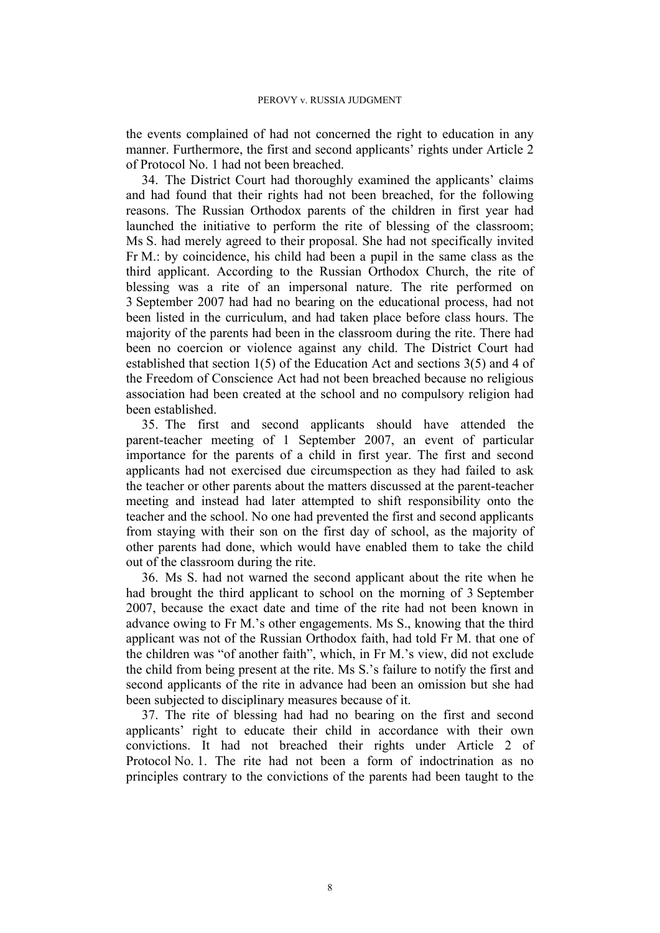the events complained of had not concerned the right to education in any manner. Furthermore, the first and second applicants' rights under Article 2 of Protocol No. 1 had not been breached.

34. The District Court had thoroughly examined the applicants' claims and had found that their rights had not been breached, for the following reasons. The Russian Orthodox parents of the children in first year had launched the initiative to perform the rite of blessing of the classroom; Ms S. had merely agreed to their proposal. She had not specifically invited Fr M.: by coincidence, his child had been a pupil in the same class as the third applicant. According to the Russian Orthodox Church, the rite of blessing was a rite of an impersonal nature. The rite performed on 3 September 2007 had had no bearing on the educational process, had not been listed in the curriculum, and had taken place before class hours. The majority of the parents had been in the classroom during the rite. There had been no coercion or violence against any child. The District Court had established that section 1(5) of the Education Act and sections 3(5) and 4 of the Freedom of Conscience Act had not been breached because no religious association had been created at the school and no compulsory religion had been established.

35. The first and second applicants should have attended the parent-teacher meeting of 1 September 2007, an event of particular importance for the parents of a child in first year. The first and second applicants had not exercised due circumspection as they had failed to ask the teacher or other parents about the matters discussed at the parent-teacher meeting and instead had later attempted to shift responsibility onto the teacher and the school. No one had prevented the first and second applicants from staying with their son on the first day of school, as the majority of other parents had done, which would have enabled them to take the child out of the classroom during the rite.

36. Ms S. had not warned the second applicant about the rite when he had brought the third applicant to school on the morning of 3 September 2007, because the exact date and time of the rite had not been known in advance owing to Fr M.'s other engagements. Ms S., knowing that the third applicant was not of the Russian Orthodox faith, had told Fr M. that one of the children was "of another faith", which, in Fr M.'s view, did not exclude the child from being present at the rite. Ms S.'s failure to notify the first and second applicants of the rite in advance had been an omission but she had been subjected to disciplinary measures because of it.

37. The rite of blessing had had no bearing on the first and second applicants' right to educate their child in accordance with their own convictions. It had not breached their rights under Article 2 of Protocol No. 1. The rite had not been a form of indoctrination as no principles contrary to the convictions of the parents had been taught to the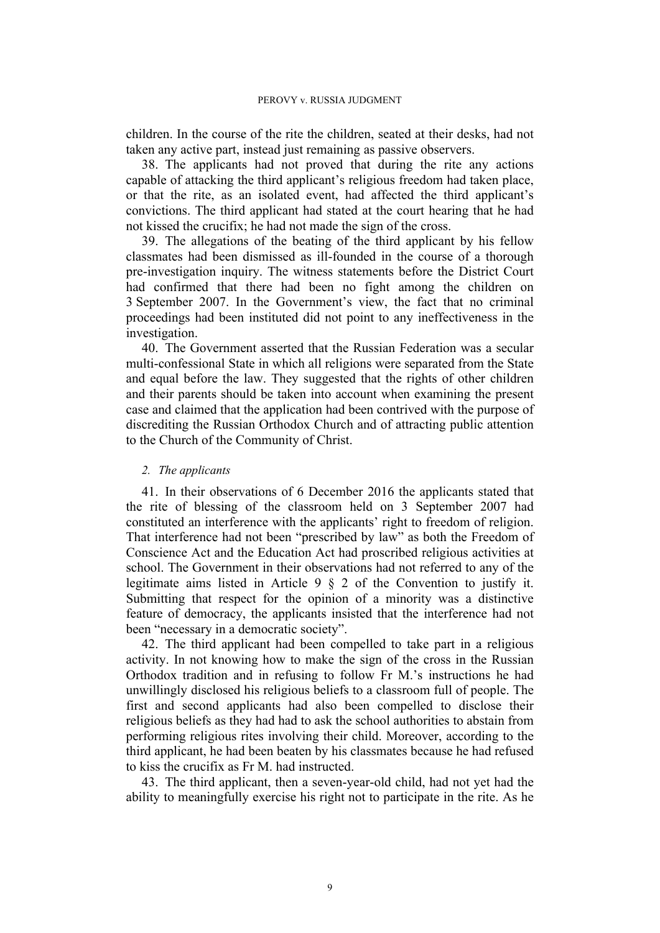children. In the course of the rite the children, seated at their desks, had not taken any active part, instead just remaining as passive observers.

38. The applicants had not proved that during the rite any actions capable of attacking the third applicant's religious freedom had taken place, or that the rite, as an isolated event, had affected the third applicant's convictions. The third applicant had stated at the court hearing that he had not kissed the crucifix; he had not made the sign of the cross.

39. The allegations of the beating of the third applicant by his fellow classmates had been dismissed as ill-founded in the course of a thorough pre-investigation inquiry. The witness statements before the District Court had confirmed that there had been no fight among the children on 3 September 2007. In the Government's view, the fact that no criminal proceedings had been instituted did not point to any ineffectiveness in the investigation.

40. The Government asserted that the Russian Federation was a secular multi-confessional State in which all religions were separated from the State and equal before the law. They suggested that the rights of other children and their parents should be taken into account when examining the present case and claimed that the application had been contrived with the purpose of discrediting the Russian Orthodox Church and of attracting public attention to the Church of the Community of Christ.

## *2. The applicants*

41. In their observations of 6 December 2016 the applicants stated that the rite of blessing of the classroom held on 3 September 2007 had constituted an interference with the applicants' right to freedom of religion. That interference had not been "prescribed by law" as both the Freedom of Conscience Act and the Education Act had proscribed religious activities at school. The Government in their observations had not referred to any of the legitimate aims listed in Article 9 § 2 of the Convention to justify it. Submitting that respect for the opinion of a minority was a distinctive feature of democracy, the applicants insisted that the interference had not been "necessary in a democratic society".

42. The third applicant had been compelled to take part in a religious activity. In not knowing how to make the sign of the cross in the Russian Orthodox tradition and in refusing to follow Fr M.'s instructions he had unwillingly disclosed his religious beliefs to a classroom full of people. The first and second applicants had also been compelled to disclose their religious beliefs as they had had to ask the school authorities to abstain from performing religious rites involving their child. Moreover, according to the third applicant, he had been beaten by his classmates because he had refused to kiss the crucifix as Fr M. had instructed.

43. The third applicant, then a seven-year-old child, had not yet had the ability to meaningfully exercise his right not to participate in the rite. As he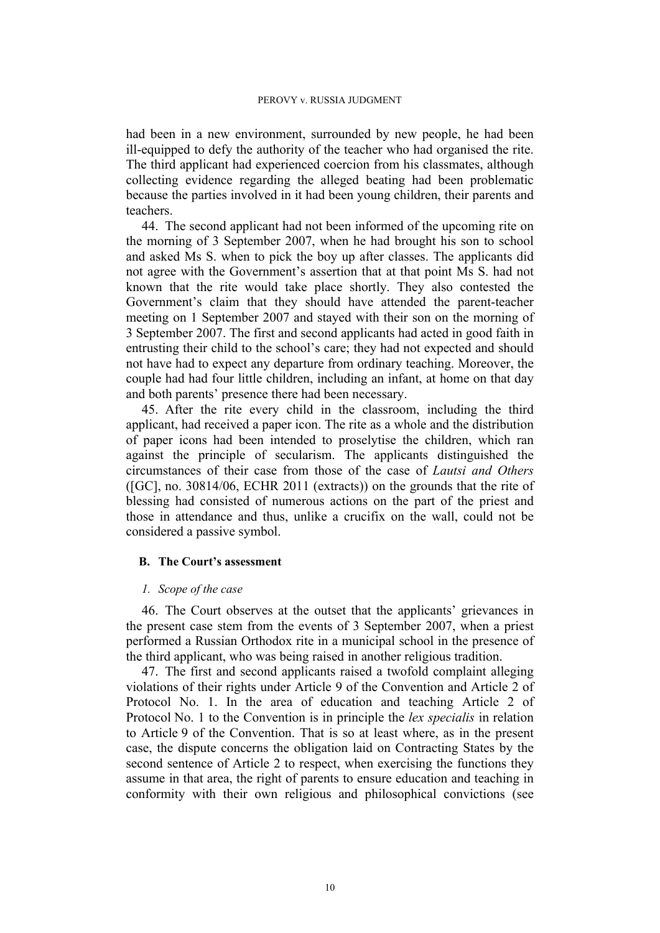had been in a new environment, surrounded by new people, he had been ill-equipped to defy the authority of the teacher who had organised the rite. The third applicant had experienced coercion from his classmates, although collecting evidence regarding the alleged beating had been problematic because the parties involved in it had been young children, their parents and teachers.

44. The second applicant had not been informed of the upcoming rite on the morning of 3 September 2007, when he had brought his son to school and asked Ms S. when to pick the boy up after classes. The applicants did not agree with the Government's assertion that at that point Ms S. had not known that the rite would take place shortly. They also contested the Government's claim that they should have attended the parent-teacher meeting on 1 September 2007 and stayed with their son on the morning of 3 September 2007. The first and second applicants had acted in good faith in entrusting their child to the school's care; they had not expected and should not have had to expect any departure from ordinary teaching. Moreover, the couple had had four little children, including an infant, at home on that day and both parents' presence there had been necessary.

45. After the rite every child in the classroom, including the third applicant, had received a paper icon. The rite as a whole and the distribution of paper icons had been intended to proselytise the children, which ran against the principle of secularism. The applicants distinguished the circumstances of their case from those of the case of *Lautsi and Others* ([GC], no. 30814/06, ECHR 2011 (extracts)) on the grounds that the rite of blessing had consisted of numerous actions on the part of the priest and those in attendance and thus, unlike a crucifix on the wall, could not be considered a passive symbol.

## **B. The Court's assessment**

## *1. Scope of the case*

46. The Court observes at the outset that the applicants' grievances in the present case stem from the events of 3 September 2007, when a priest performed a Russian Orthodox rite in a municipal school in the presence of the third applicant, who was being raised in another religious tradition.

47. The first and second applicants raised a twofold complaint alleging violations of their rights under Article 9 of the Convention and Article 2 of Protocol No. 1. In the area of education and teaching Article 2 of Protocol No. 1 to the Convention is in principle the *lex specialis* in relation to Article 9 of the Convention. That is so at least where, as in the present case, the dispute concerns the obligation laid on Contracting States by the second sentence of Article 2 to respect, when exercising the functions they assume in that area, the right of parents to ensure education and teaching in conformity with their own religious and philosophical convictions (see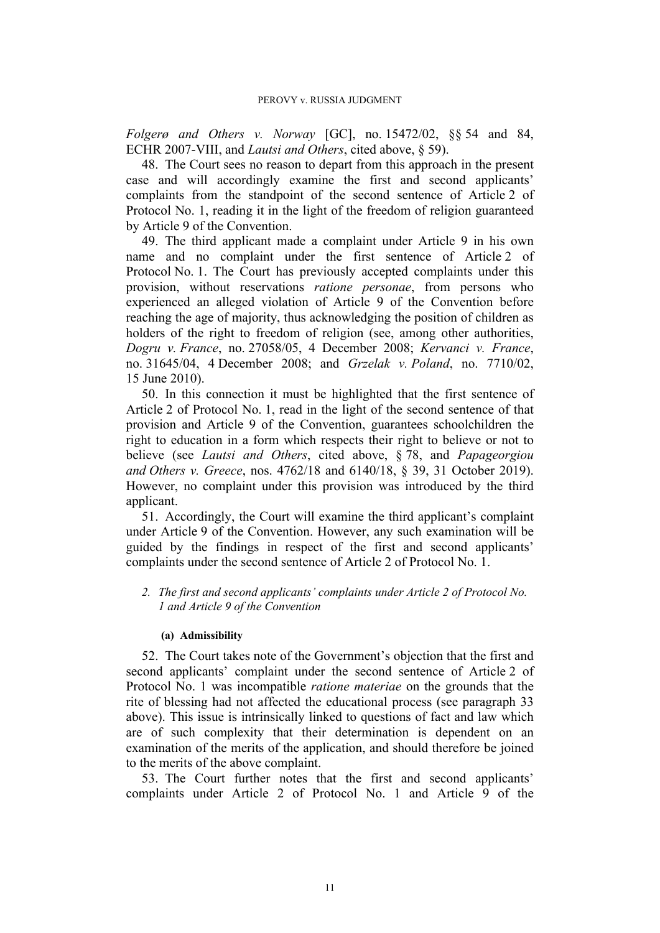*Folgerø and Others v. Norway* [GC], no. 15472/02, §§ 54 and 84, ECHR 2007-VIII, and *Lautsi and Others*, cited above, § 59).

48. The Court sees no reason to depart from this approach in the present case and will accordingly examine the first and second applicants' complaints from the standpoint of the second sentence of Article 2 of Protocol No. 1, reading it in the light of the freedom of religion guaranteed by Article 9 of the Convention.

49. The third applicant made a complaint under Article 9 in his own name and no complaint under the first sentence of Article 2 of Protocol No. 1. The Court has previously accepted complaints under this provision, without reservations *ratione personae*, from persons who experienced an alleged violation of Article 9 of the Convention before reaching the age of majority, thus acknowledging the position of children as holders of the right to freedom of religion (see, among other authorities, *Dogru v. France*, no. 27058/05, 4 December 2008; *Kervanci v. France*, no. 31645/04, 4 December 2008; and *Grzelak v. Poland*, no. 7710/02, 15 June 2010).

50. In this connection it must be highlighted that the first sentence of Article 2 of Protocol No. 1, read in the light of the second sentence of that provision and Article 9 of the Convention, guarantees schoolchildren the right to education in a form which respects their right to believe or not to believe (see *Lautsi and Others*, cited above, § 78, and *Papageorgiou and Others v. Greece*, nos. 4762/18 and 6140/18, § 39, 31 October 2019). However, no complaint under this provision was introduced by the third applicant.

51. Accordingly, the Court will examine the third applicant's complaint under Article 9 of the Convention. However, any such examination will be guided by the findings in respect of the first and second applicants' complaints under the second sentence of Article 2 of Protocol No. 1.

*2. The first and second applicants' complaints under Article 2 of Protocol No. 1 and Article 9 of the Convention*

## **(a) Admissibility**

52. The Court takes note of the Government's objection that the first and second applicants' complaint under the second sentence of Article 2 of Protocol No. 1 was incompatible *ratione materiae* on the grounds that the rite of blessing had not affected the educational process (see paragraph 33 above). This issue is intrinsically linked to questions of fact and law which are of such complexity that their determination is dependent on an examination of the merits of the application, and should therefore be joined to the merits of the above complaint.

53. The Court further notes that the first and second applicants' complaints under Article 2 of Protocol No. 1 and Article 9 of the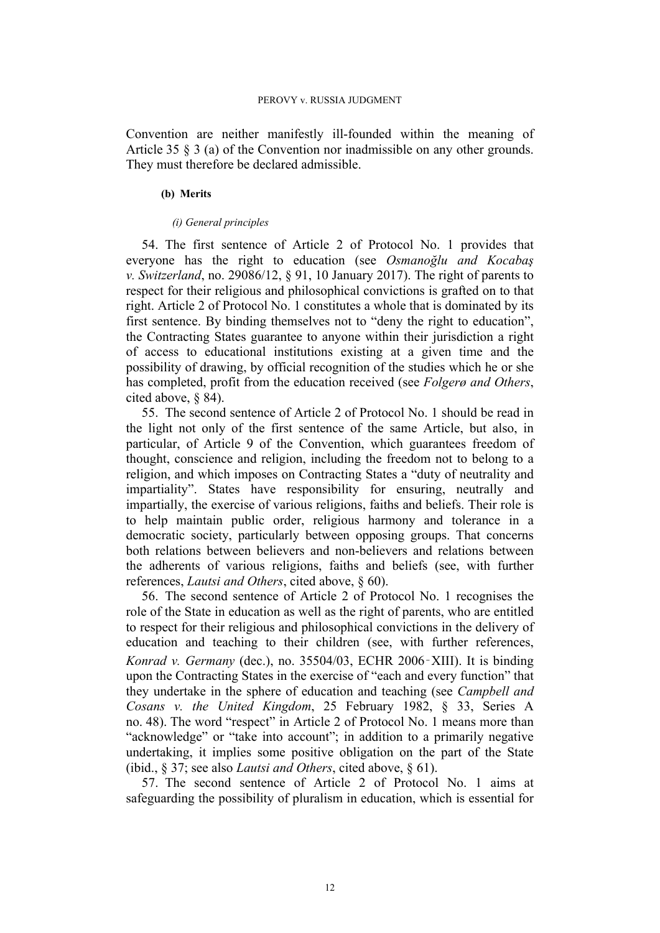Convention are neither manifestly ill-founded within the meaning of Article 35 § 3 (a) of the Convention nor inadmissible on any other grounds. They must therefore be declared admissible.

### **(b) Merits**

### *(i) General principles*

54. The first sentence of Article 2 of Protocol No. 1 provides that everyone has the right to education (see *Osmanoğlu and Kocabaş v. Switzerland*, no. 29086/12, § 91, 10 January 2017). The right of parents to respect for their religious and philosophical convictions is grafted on to that right. Article 2 of Protocol No. 1 constitutes a whole that is dominated by its first sentence. By binding themselves not to "deny the right to education", the Contracting States guarantee to anyone within their jurisdiction a right of access to educational institutions existing at a given time and the possibility of drawing, by official recognition of the studies which he or she has completed, profit from the education received (see *Folgerø and Others*, cited above, § 84).

55. The second sentence of Article 2 of Protocol No. 1 should be read in the light not only of the first sentence of the same Article, but also, in particular, of Article 9 of the Convention, which guarantees freedom of thought, conscience and religion, including the freedom not to belong to a religion, and which imposes on Contracting States a "duty of neutrality and impartiality". States have responsibility for ensuring, neutrally and impartially, the exercise of various religions, faiths and beliefs. Their role is to help maintain public order, religious harmony and tolerance in a democratic society, particularly between opposing groups. That concerns both relations between believers and non-believers and relations between the adherents of various religions, faiths and beliefs (see, with further references, *Lautsi and Others*, cited above, § 60).

56. The second sentence of Article 2 of Protocol No. 1 recognises the role of the State in education as well as the right of parents, who are entitled to respect for their religious and philosophical convictions in the delivery of education and teaching to their children (see, with further references, *Konrad v. Germany* (dec.), no. 35504/03, ECHR 2006‑XIII). It is binding upon the Contracting States in the exercise of "each and every function" that they undertake in the sphere of education and teaching (see *Campbell and Cosans v. the United Kingdom*, 25 February 1982, § 33, Series A no. 48). The word "respect" in Article 2 of Protocol No. 1 means more than "acknowledge" or "take into account"; in addition to a primarily negative undertaking, it implies some positive obligation on the part of the State (ibid., § 37; see also *Lautsi and Others*, cited above, § 61).

57. The second sentence of Article 2 of Protocol No. 1 aims at safeguarding the possibility of pluralism in education, which is essential for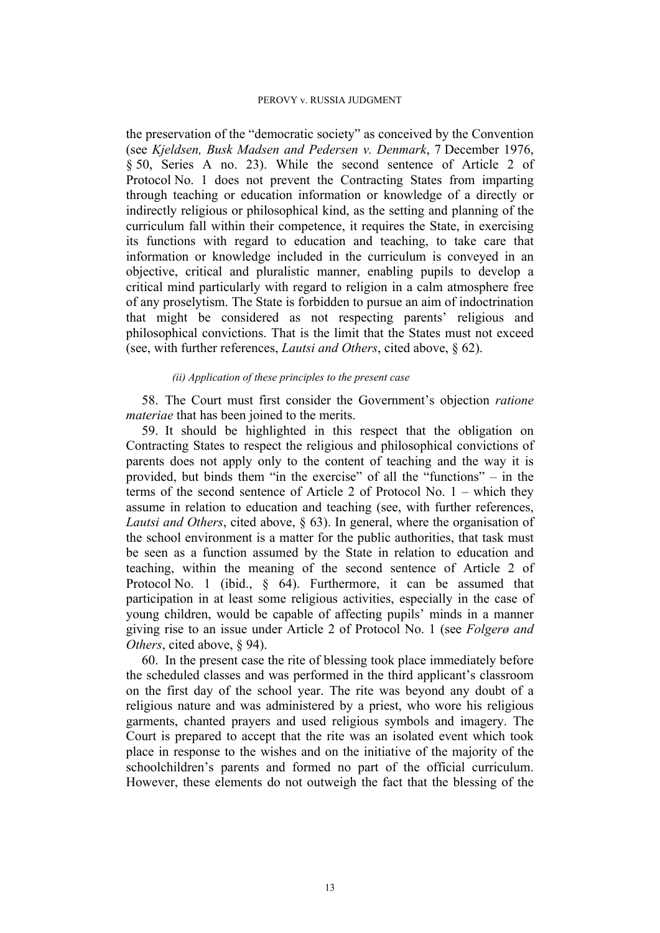the preservation of the "democratic society" as conceived by the Convention (see *Kjeldsen, Busk Madsen and Pedersen v. Denmark*, 7 December 1976, § 50, Series A no. 23). While the second sentence of Article 2 of Protocol No. 1 does not prevent the Contracting States from imparting through teaching or education information or knowledge of a directly or indirectly religious or philosophical kind, as the setting and planning of the curriculum fall within their competence, it requires the State, in exercising its functions with regard to education and teaching, to take care that information or knowledge included in the curriculum is conveyed in an objective, critical and pluralistic manner, enabling pupils to develop a critical mind particularly with regard to religion in a calm atmosphere free of any proselytism. The State is forbidden to pursue an aim of indoctrination that might be considered as not respecting parents' religious and philosophical convictions. That is the limit that the States must not exceed (see, with further references, *Lautsi and Others*, cited above, § 62).

### *(ii) Application of these principles to the present case*

58. The Court must first consider the Government's objection *ratione materiae* that has been joined to the merits.

59. It should be highlighted in this respect that the obligation on Contracting States to respect the religious and philosophical convictions of parents does not apply only to the content of teaching and the way it is provided, but binds them "in the exercise" of all the "functions" – in the terms of the second sentence of Article 2 of Protocol No. 1 – which they assume in relation to education and teaching (see, with further references, *Lautsi and Others*, cited above, § 63). In general, where the organisation of the school environment is a matter for the public authorities, that task must be seen as a function assumed by the State in relation to education and teaching, within the meaning of the second sentence of Article 2 of Protocol No. 1 (ibid., § 64). Furthermore, it can be assumed that participation in at least some religious activities, especially in the case of young children, would be capable of affecting pupils' minds in a manner giving rise to an issue under Article 2 of Protocol No. 1 (see *Folgerø and Others*, cited above, § 94).

60. In the present case the rite of blessing took place immediately before the scheduled classes and was performed in the third applicant's classroom on the first day of the school year. The rite was beyond any doubt of a religious nature and was administered by a priest, who wore his religious garments, chanted prayers and used religious symbols and imagery. The Court is prepared to accept that the rite was an isolated event which took place in response to the wishes and on the initiative of the majority of the schoolchildren's parents and formed no part of the official curriculum. However, these elements do not outweigh the fact that the blessing of the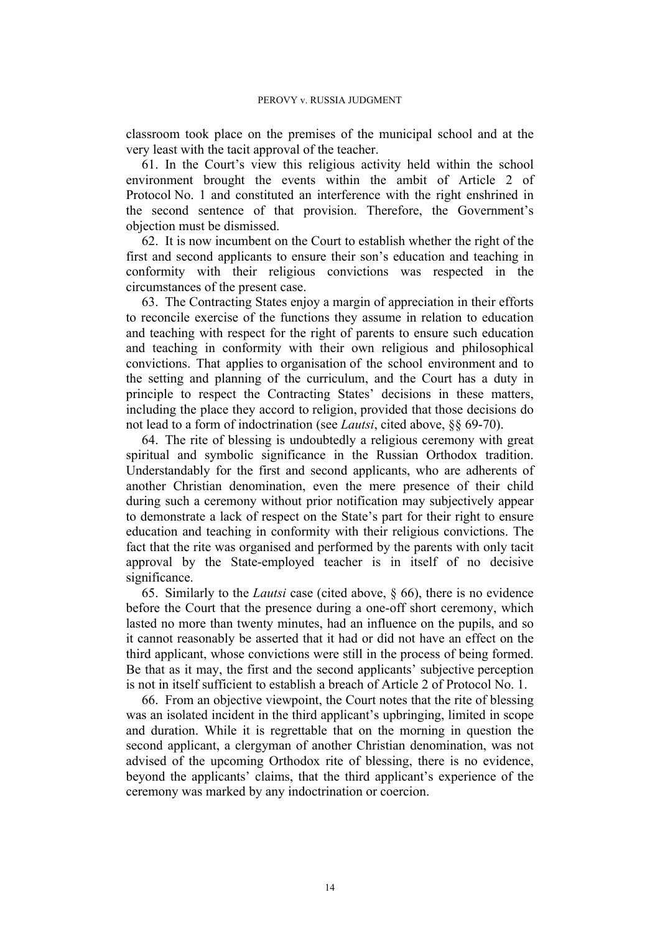classroom took place on the premises of the municipal school and at the very least with the tacit approval of the teacher.

61. In the Court's view this religious activity held within the school environment brought the events within the ambit of Article 2 of Protocol No. 1 and constituted an interference with the right enshrined in the second sentence of that provision. Therefore, the Government's objection must be dismissed.

62. It is now incumbent on the Court to establish whether the right of the first and second applicants to ensure their son's education and teaching in conformity with their religious convictions was respected in the circumstances of the present case.

63. The Contracting States enjoy a margin of appreciation in their efforts to reconcile exercise of the functions they assume in relation to education and teaching with respect for the right of parents to ensure such education and teaching in conformity with their own religious and philosophical convictions. That applies to organisation of the school environment and to the setting and planning of the curriculum, and the Court has a duty in principle to respect the Contracting States' decisions in these matters, including the place they accord to religion, provided that those decisions do not lead to a form of indoctrination (see *Lautsi*, cited above, §§ 69-70).

64. The rite of blessing is undoubtedly a religious ceremony with great spiritual and symbolic significance in the Russian Orthodox tradition. Understandably for the first and second applicants, who are adherents of another Christian denomination, even the mere presence of their child during such a ceremony without prior notification may subjectively appear to demonstrate a lack of respect on the State's part for their right to ensure education and teaching in conformity with their religious convictions. The fact that the rite was organised and performed by the parents with only tacit approval by the State-employed teacher is in itself of no decisive significance.

65. Similarly to the *Lautsi* case (cited above, § 66), there is no evidence before the Court that the presence during a one-off short ceremony, which lasted no more than twenty minutes, had an influence on the pupils, and so it cannot reasonably be asserted that it had or did not have an effect on the third applicant, whose convictions were still in the process of being formed. Be that as it may, the first and the second applicants' subjective perception is not in itself sufficient to establish a breach of Article 2 of Protocol No. 1.

66. From an objective viewpoint, the Court notes that the rite of blessing was an isolated incident in the third applicant's upbringing, limited in scope and duration. While it is regrettable that on the morning in question the second applicant, a clergyman of another Christian denomination, was not advised of the upcoming Orthodox rite of blessing, there is no evidence, beyond the applicants' claims, that the third applicant's experience of the ceremony was marked by any indoctrination or coercion.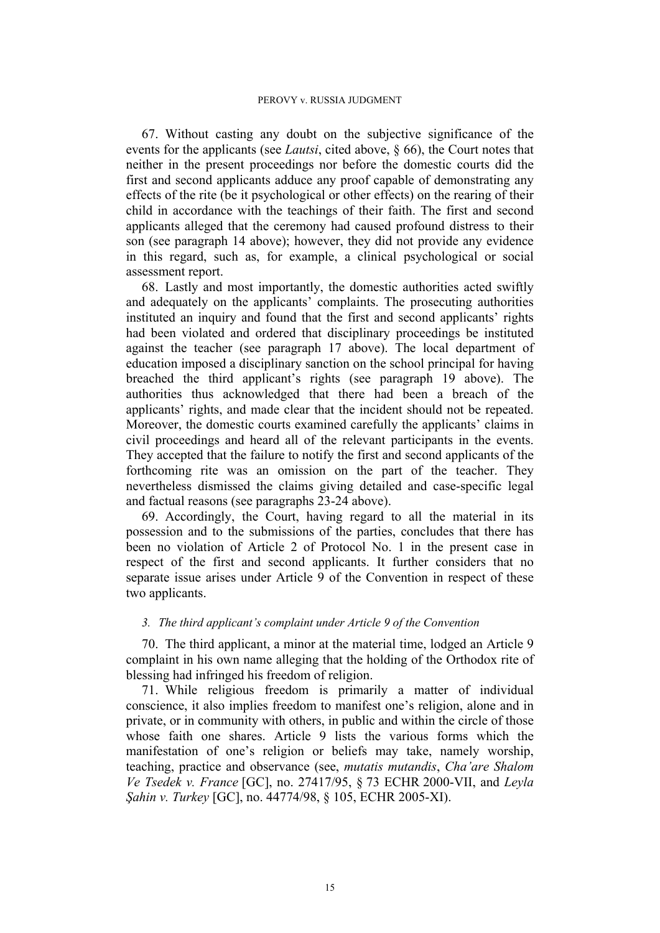67. Without casting any doubt on the subjective significance of the events for the applicants (see *Lautsi*, cited above, § 66), the Court notes that neither in the present proceedings nor before the domestic courts did the first and second applicants adduce any proof capable of demonstrating any effects of the rite (be it psychological or other effects) on the rearing of their child in accordance with the teachings of their faith. The first and second applicants alleged that the ceremony had caused profound distress to their son (see paragraph 14 above); however, they did not provide any evidence in this regard, such as, for example, a clinical psychological or social assessment report.

68. Lastly and most importantly, the domestic authorities acted swiftly and adequately on the applicants' complaints. The prosecuting authorities instituted an inquiry and found that the first and second applicants' rights had been violated and ordered that disciplinary proceedings be instituted against the teacher (see paragraph 17 above). The local department of education imposed a disciplinary sanction on the school principal for having breached the third applicant's rights (see paragraph 19 above). The authorities thus acknowledged that there had been a breach of the applicants' rights, and made clear that the incident should not be repeated. Moreover, the domestic courts examined carefully the applicants' claims in civil proceedings and heard all of the relevant participants in the events. They accepted that the failure to notify the first and second applicants of the forthcoming rite was an omission on the part of the teacher. They nevertheless dismissed the claims giving detailed and case-specific legal and factual reasons (see paragraphs 23-24 above).

69. Accordingly, the Court, having regard to all the material in its possession and to the submissions of the parties, concludes that there has been no violation of Article 2 of Protocol No. 1 in the present case in respect of the first and second applicants. It further considers that no separate issue arises under Article 9 of the Convention in respect of these two applicants.

# *3. The third applicant's complaint under Article 9 of the Convention*

70. The third applicant, a minor at the material time, lodged an Article 9 complaint in his own name alleging that the holding of the Orthodox rite of blessing had infringed his freedom of religion.

71. While religious freedom is primarily a matter of individual conscience, it also implies freedom to manifest one's religion, alone and in private, or in community with others, in public and within the circle of those whose faith one shares. Article 9 lists the various forms which the manifestation of one's religion or beliefs may take, namely worship, teaching, practice and observance (see, *mutatis mutandis*, *Cha'are Shalom Ve Tsedek v. France* [GC], no. 27417/95, § 73 ECHR 2000-VII, and *Leyla Şahin v. Turkey* [GC], no. 44774/98, § 105, ECHR 2005-XI).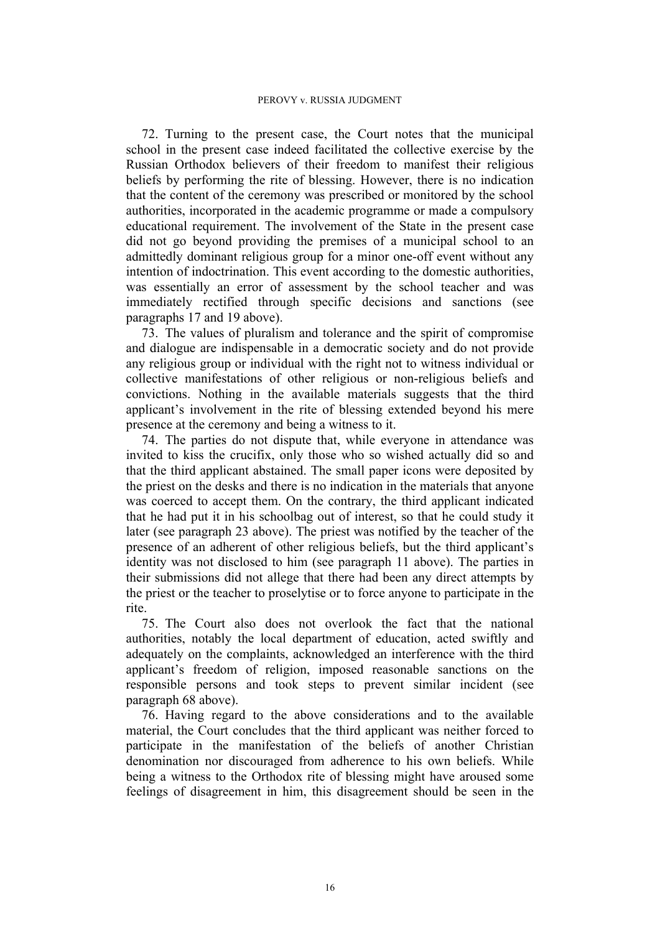72. Turning to the present case, the Court notes that the municipal school in the present case indeed facilitated the collective exercise by the Russian Orthodox believers of their freedom to manifest their religious beliefs by performing the rite of blessing. However, there is no indication that the content of the ceremony was prescribed or monitored by the school authorities, incorporated in the academic programme or made a compulsory educational requirement. The involvement of the State in the present case did not go beyond providing the premises of a municipal school to an admittedly dominant religious group for a minor one-off event without any intention of indoctrination. This event according to the domestic authorities, was essentially an error of assessment by the school teacher and was immediately rectified through specific decisions and sanctions (see paragraphs 17 and 19 above).

73. The values of pluralism and tolerance and the spirit of compromise and dialogue are indispensable in a democratic society and do not provide any religious group or individual with the right not to witness individual or collective manifestations of other religious or non-religious beliefs and convictions. Nothing in the available materials suggests that the third applicant's involvement in the rite of blessing extended beyond his mere presence at the ceremony and being a witness to it.

74. The parties do not dispute that, while everyone in attendance was invited to kiss the crucifix, only those who so wished actually did so and that the third applicant abstained. The small paper icons were deposited by the priest on the desks and there is no indication in the materials that anyone was coerced to accept them. On the contrary, the third applicant indicated that he had put it in his schoolbag out of interest, so that he could study it later (see paragraph 23 above). The priest was notified by the teacher of the presence of an adherent of other religious beliefs, but the third applicant's identity was not disclosed to him (see paragraph 11 above). The parties in their submissions did not allege that there had been any direct attempts by the priest or the teacher to proselytise or to force anyone to participate in the rite.

75. The Court also does not overlook the fact that the national authorities, notably the local department of education, acted swiftly and adequately on the complaints, acknowledged an interference with the third applicant's freedom of religion, imposed reasonable sanctions on the responsible persons and took steps to prevent similar incident (see paragraph 68 above).

76. Having regard to the above considerations and to the available material, the Court concludes that the third applicant was neither forced to participate in the manifestation of the beliefs of another Christian denomination nor discouraged from adherence to his own beliefs. While being a witness to the Orthodox rite of blessing might have aroused some feelings of disagreement in him, this disagreement should be seen in the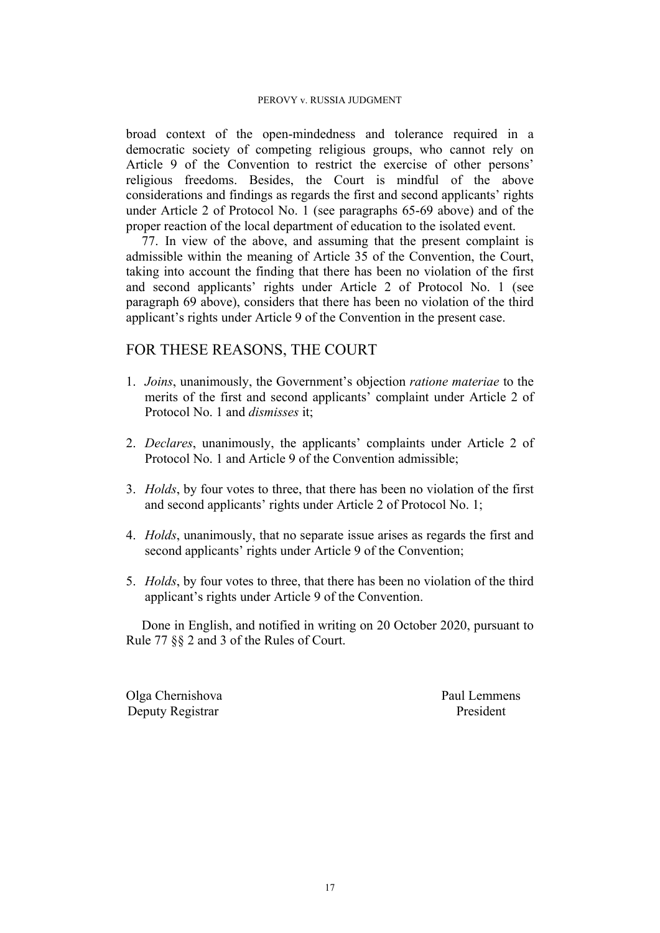broad context of the open-mindedness and tolerance required in a democratic society of competing religious groups, who cannot rely on Article 9 of the Convention to restrict the exercise of other persons' religious freedoms. Besides, the Court is mindful of the above considerations and findings as regards the first and second applicants' rights under Article 2 of Protocol No. 1 (see paragraphs 65-69 above) and of the proper reaction of the local department of education to the isolated event.

77. In view of the above, and assuming that the present complaint is admissible within the meaning of Article 35 of the Convention, the Court, taking into account the finding that there has been no violation of the first and second applicants' rights under Article 2 of Protocol No. 1 (see paragraph 69 above), considers that there has been no violation of the third applicant's rights under Article 9 of the Convention in the present case.

# FOR THESE REASONS, THE COURT

- 1. *Joins*, unanimously, the Government's objection *ratione materiae* to the merits of the first and second applicants' complaint under Article 2 of Protocol No. 1 and *dismisses* it;
- 2. *Declares*, unanimously, the applicants' complaints under Article 2 of Protocol No. 1 and Article 9 of the Convention admissible;
- 3. *Holds*, by four votes to three, that there has been no violation of the first and second applicants' rights under Article 2 of Protocol No. 1;
- 4. *Holds*, unanimously, that no separate issue arises as regards the first and second applicants' rights under Article 9 of the Convention;
- 5. *Holds*, by four votes to three, that there has been no violation of the third applicant's rights under Article 9 of the Convention.

Done in English, and notified in writing on 20 October 2020, pursuant to Rule 77 §§ 2 and 3 of the Rules of Court.

Olga Chernishova Paul Lemmens Deputy Registrar President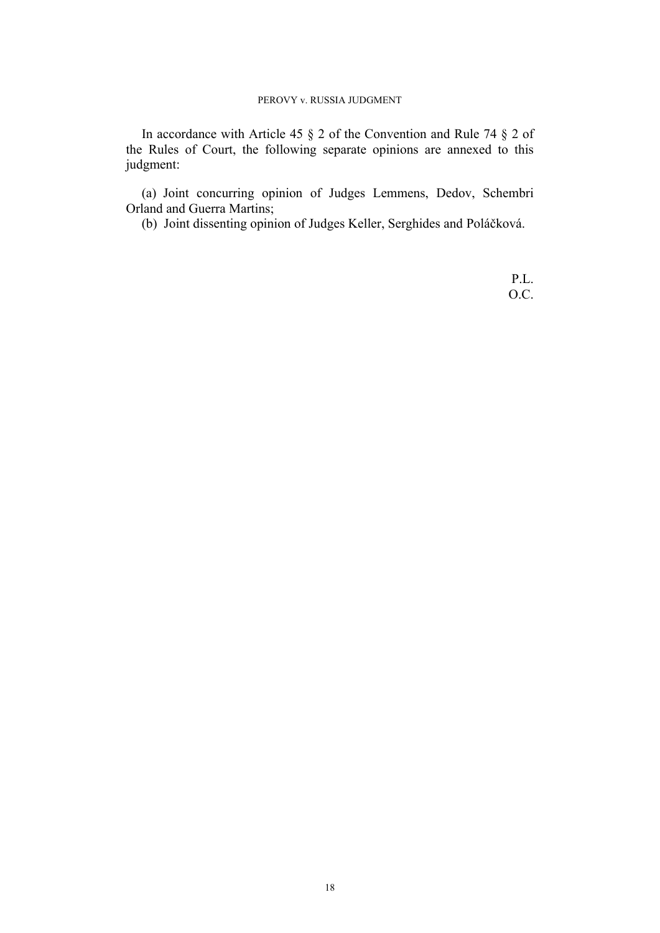In accordance with Article 45 § 2 of the Convention and Rule 74 § 2 of the Rules of Court, the following separate opinions are annexed to this judgment:

(a) Joint concurring opinion of Judges Lemmens, Dedov, Schembri Orland and Guerra Martins;

(b) Joint dissenting opinion of Judges Keller, Serghides and Poláčková.

P.L. O.C.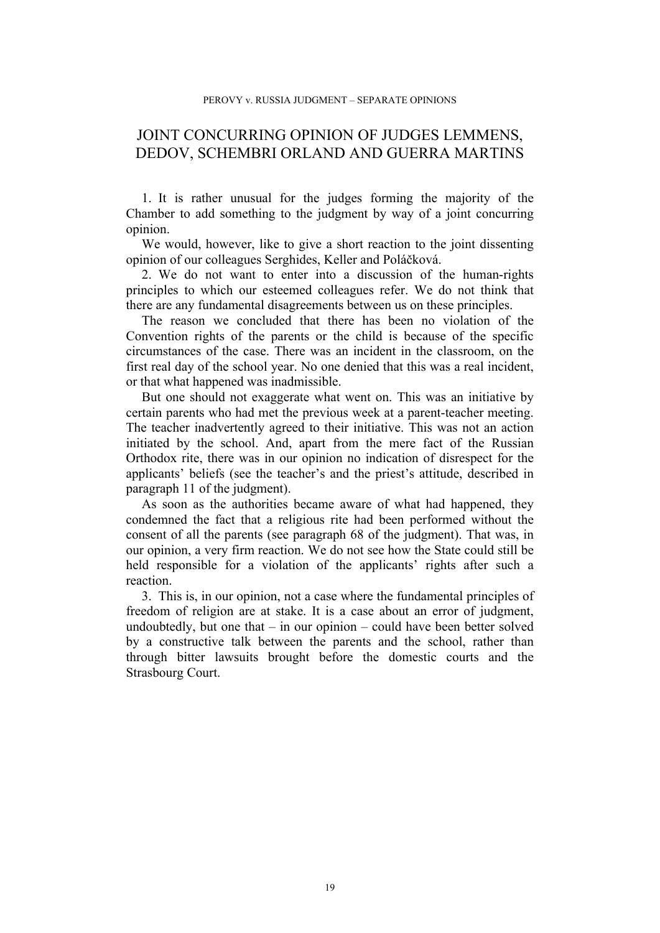# JOINT CONCURRING OPINION OF JUDGES LEMMENS, DEDOV, SCHEMBRI ORLAND AND GUERRA MARTINS

1. It is rather unusual for the judges forming the majority of the Chamber to add something to the judgment by way of a joint concurring opinion.

We would, however, like to give a short reaction to the joint dissenting opinion of our colleagues Serghides, Keller and Poláčková.

2. We do not want to enter into a discussion of the human-rights principles to which our esteemed colleagues refer. We do not think that there are any fundamental disagreements between us on these principles.

The reason we concluded that there has been no violation of the Convention rights of the parents or the child is because of the specific circumstances of the case. There was an incident in the classroom, on the first real day of the school year. No one denied that this was a real incident, or that what happened was inadmissible.

But one should not exaggerate what went on. This was an initiative by certain parents who had met the previous week at a parent-teacher meeting. The teacher inadvertently agreed to their initiative. This was not an action initiated by the school. And, apart from the mere fact of the Russian Orthodox rite, there was in our opinion no indication of disrespect for the applicants' beliefs (see the teacher's and the priest's attitude, described in paragraph 11 of the judgment).

As soon as the authorities became aware of what had happened, they condemned the fact that a religious rite had been performed without the consent of all the parents (see paragraph 68 of the judgment). That was, in our opinion, a very firm reaction. We do not see how the State could still be held responsible for a violation of the applicants' rights after such a reaction.

3. This is, in our opinion, not a case where the fundamental principles of freedom of religion are at stake. It is a case about an error of judgment, undoubtedly, but one that – in our opinion – could have been better solved by a constructive talk between the parents and the school, rather than through bitter lawsuits brought before the domestic courts and the Strasbourg Court.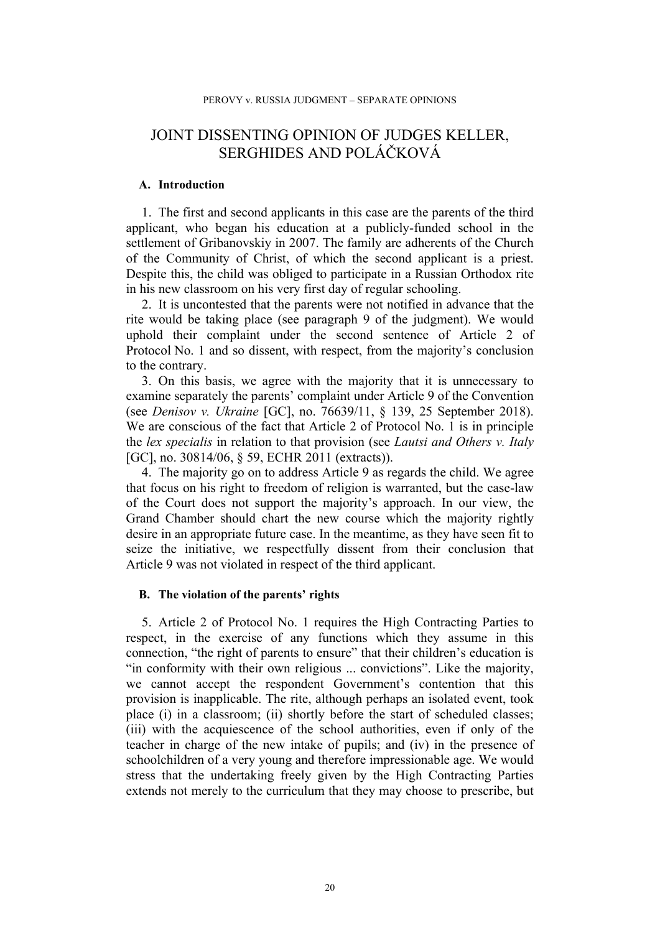# JOINT DISSENTING OPINION OF JUDGES KELLER, SERGHIDES AND POLÁČKOVÁ

### **A. Introduction**

1. The first and second applicants in this case are the parents of the third applicant, who began his education at a publicly-funded school in the settlement of Gribanovskiy in 2007. The family are adherents of the Church of the Community of Christ, of which the second applicant is a priest. Despite this, the child was obliged to participate in a Russian Orthodox rite in his new classroom on his very first day of regular schooling.

2. It is uncontested that the parents were not notified in advance that the rite would be taking place (see paragraph 9 of the judgment). We would uphold their complaint under the second sentence of Article 2 of Protocol No. 1 and so dissent, with respect, from the majority's conclusion to the contrary.

3. On this basis, we agree with the majority that it is unnecessary to examine separately the parents' complaint under Article 9 of the Convention (see *Denisov v. Ukraine* [GC], no. 76639/11, § 139, 25 September 2018). We are conscious of the fact that Article 2 of Protocol No. 1 is in principle the *lex specialis* in relation to that provision (see *Lautsi and Others v. Italy* [GC], no. 30814/06, § 59, ECHR 2011 (extracts)).

4. The majority go on to address Article 9 as regards the child. We agree that focus on his right to freedom of religion is warranted, but the case-law of the Court does not support the majority's approach. In our view, the Grand Chamber should chart the new course which the majority rightly desire in an appropriate future case. In the meantime, as they have seen fit to seize the initiative, we respectfully dissent from their conclusion that Article 9 was not violated in respect of the third applicant.

### **B. The violation of the parents' rights**

5. Article 2 of Protocol No. 1 requires the High Contracting Parties to respect, in the exercise of any functions which they assume in this connection, "the right of parents to ensure" that their children's education is "in conformity with their own religious ... convictions". Like the majority, we cannot accept the respondent Government's contention that this provision is inapplicable. The rite, although perhaps an isolated event, took place (i) in a classroom; (ii) shortly before the start of scheduled classes; (iii) with the acquiescence of the school authorities, even if only of the teacher in charge of the new intake of pupils; and (iv) in the presence of schoolchildren of a very young and therefore impressionable age. We would stress that the undertaking freely given by the High Contracting Parties extends not merely to the curriculum that they may choose to prescribe, but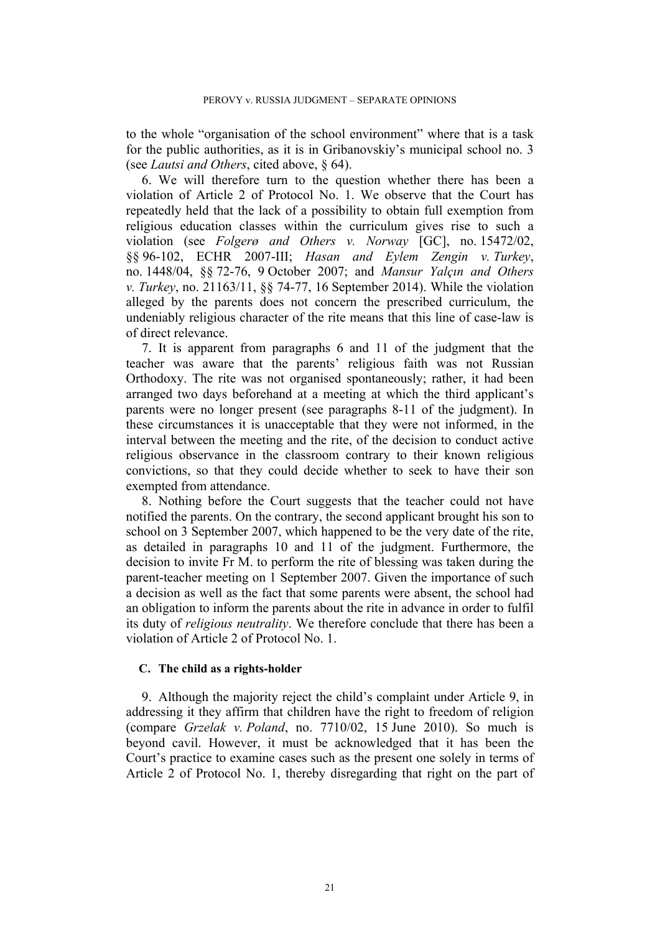to the whole "organisation of the school environment" where that is a task for the public authorities, as it is in Gribanovskiy's municipal school no. 3 (see *Lautsi and Others*, cited above, § 64).

6. We will therefore turn to the question whether there has been a violation of Article 2 of Protocol No. 1. We observe that the Court has repeatedly held that the lack of a possibility to obtain full exemption from religious education classes within the curriculum gives rise to such a violation (see *Folgerø and Others v. Norway* [GC], no. 15472/02, §§ 96-102, ECHR 2007-III; *Hasan and Eylem Zengin v. Turkey*, no. 1448/04, §§ 72-76, 9 October 2007; and *Mansur Yalçın and Others v. Turkey*, no. 21163/11, §§ 74-77, 16 September 2014). While the violation alleged by the parents does not concern the prescribed curriculum, the undeniably religious character of the rite means that this line of case-law is of direct relevance.

7. It is apparent from paragraphs 6 and 11 of the judgment that the teacher was aware that the parents' religious faith was not Russian Orthodoxy. The rite was not organised spontaneously; rather, it had been arranged two days beforehand at a meeting at which the third applicant's parents were no longer present (see paragraphs 8-11 of the judgment). In these circumstances it is unacceptable that they were not informed, in the interval between the meeting and the rite, of the decision to conduct active religious observance in the classroom contrary to their known religious convictions, so that they could decide whether to seek to have their son exempted from attendance.

8. Nothing before the Court suggests that the teacher could not have notified the parents. On the contrary, the second applicant brought his son to school on 3 September 2007, which happened to be the very date of the rite, as detailed in paragraphs 10 and 11 of the judgment. Furthermore, the decision to invite Fr M. to perform the rite of blessing was taken during the parent-teacher meeting on 1 September 2007. Given the importance of such a decision as well as the fact that some parents were absent, the school had an obligation to inform the parents about the rite in advance in order to fulfil its duty of *religious neutrality*. We therefore conclude that there has been a violation of Article 2 of Protocol No. 1.

### **C. The child as a rights-holder**

9. Although the majority reject the child's complaint under Article 9, in addressing it they affirm that children have the right to freedom of religion (compare *Grzelak v. Poland*, no. 7710/02, 15 June 2010). So much is beyond cavil. However, it must be acknowledged that it has been the Court's practice to examine cases such as the present one solely in terms of Article 2 of Protocol No. 1, thereby disregarding that right on the part of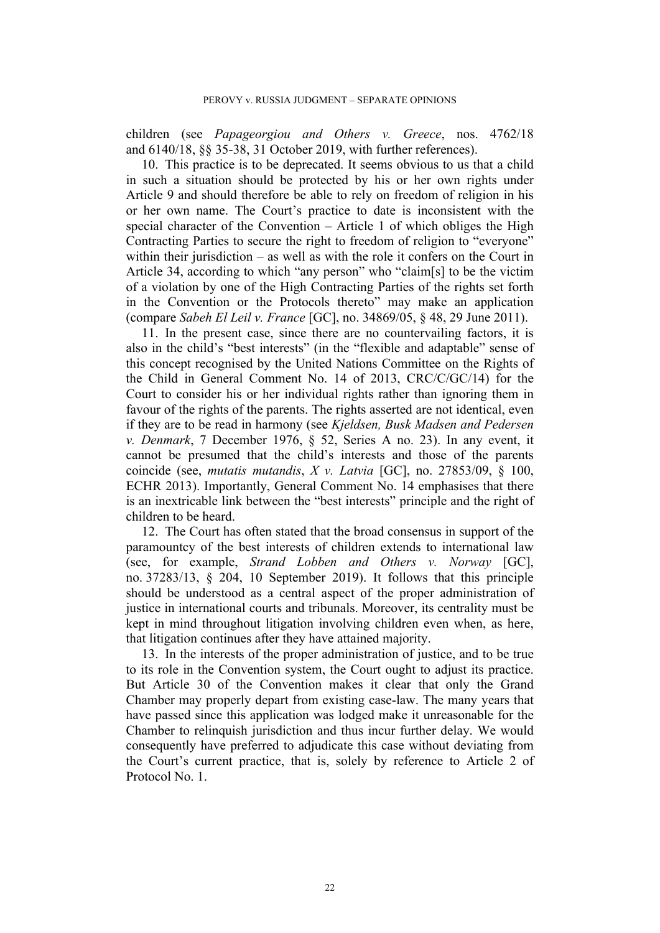children (see *Papageorgiou and Others v. Greece*, nos. 4762/18 and 6140/18, §§ 35-38, 31 October 2019, with further references).

10. This practice is to be deprecated. It seems obvious to us that a child in such a situation should be protected by his or her own rights under Article 9 and should therefore be able to rely on freedom of religion in his or her own name. The Court's practice to date is inconsistent with the special character of the Convention – Article 1 of which obliges the High Contracting Parties to secure the right to freedom of religion to "everyone" within their jurisdiction – as well as with the role it confers on the Court in Article 34, according to which "any person" who "claim[s] to be the victim of a violation by one of the High Contracting Parties of the rights set forth in the Convention or the Protocols thereto" may make an application (compare *Sabeh El Leil v. France* [GC], no. 34869/05, § 48, 29 June 2011).

11. In the present case, since there are no countervailing factors, it is also in the child's "best interests" (in the "flexible and adaptable" sense of this concept recognised by the United Nations Committee on the Rights of the Child in General Comment No. 14 of 2013, CRC/C/GC/14) for the Court to consider his or her individual rights rather than ignoring them in favour of the rights of the parents. The rights asserted are not identical, even if they are to be read in harmony (see *Kjeldsen, Busk Madsen and Pedersen v. Denmark*, 7 December 1976, § 52, Series A no. 23). In any event, it cannot be presumed that the child's interests and those of the parents coincide (see, *mutatis mutandis*, *X v. Latvia* [GC], no. 27853/09, § 100, ECHR 2013). Importantly, General Comment No. 14 emphasises that there is an inextricable link between the "best interests" principle and the right of children to be heard.

12. The Court has often stated that the broad consensus in support of the paramountcy of the best interests of children extends to international law (see, for example, *Strand Lobben and Others v. Norway* [GC], no. 37283/13, § 204, 10 September 2019). It follows that this principle should be understood as a central aspect of the proper administration of justice in international courts and tribunals. Moreover, its centrality must be kept in mind throughout litigation involving children even when, as here, that litigation continues after they have attained majority.

13. In the interests of the proper administration of justice, and to be true to its role in the Convention system, the Court ought to adjust its practice. But Article 30 of the Convention makes it clear that only the Grand Chamber may properly depart from existing case-law. The many years that have passed since this application was lodged make it unreasonable for the Chamber to relinquish jurisdiction and thus incur further delay. We would consequently have preferred to adjudicate this case without deviating from the Court's current practice, that is, solely by reference to Article 2 of Protocol No. 1.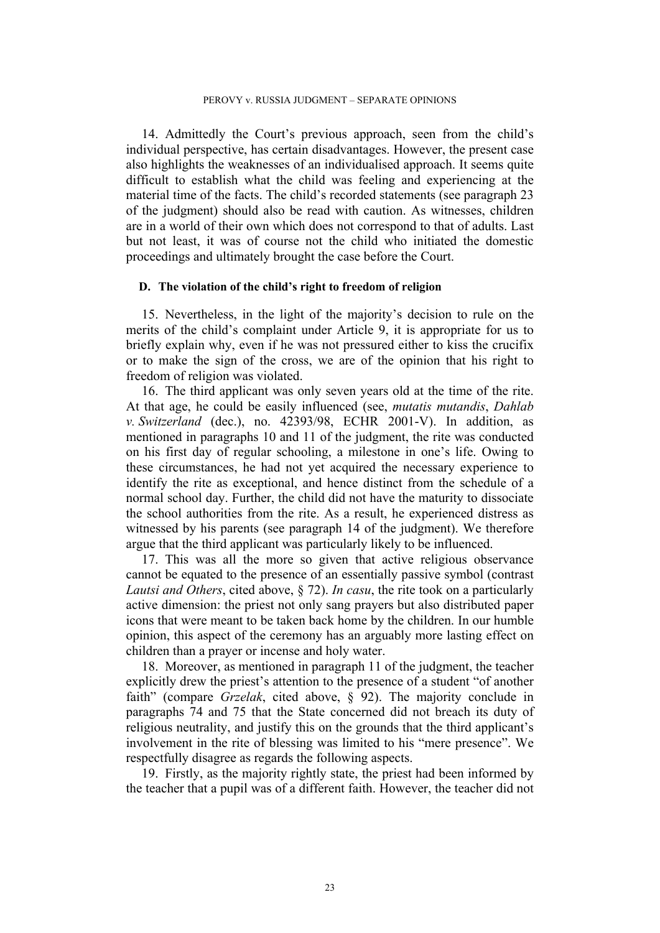14. Admittedly the Court's previous approach, seen from the child's individual perspective, has certain disadvantages. However, the present case also highlights the weaknesses of an individualised approach. It seems quite difficult to establish what the child was feeling and experiencing at the material time of the facts. The child's recorded statements (see paragraph 23 of the judgment) should also be read with caution. As witnesses, children are in a world of their own which does not correspond to that of adults. Last but not least, it was of course not the child who initiated the domestic proceedings and ultimately brought the case before the Court.

## **D. The violation of the child's right to freedom of religion**

15. Nevertheless, in the light of the majority's decision to rule on the merits of the child's complaint under Article 9, it is appropriate for us to briefly explain why, even if he was not pressured either to kiss the crucifix or to make the sign of the cross, we are of the opinion that his right to freedom of religion was violated.

16. The third applicant was only seven years old at the time of the rite. At that age, he could be easily influenced (see, *mutatis mutandis*, *Dahlab v. Switzerland* (dec.), no. 42393/98, ECHR 2001-V). In addition, as mentioned in paragraphs 10 and 11 of the judgment, the rite was conducted on his first day of regular schooling, a milestone in one's life. Owing to these circumstances, he had not yet acquired the necessary experience to identify the rite as exceptional, and hence distinct from the schedule of a normal school day. Further, the child did not have the maturity to dissociate the school authorities from the rite. As a result, he experienced distress as witnessed by his parents (see paragraph 14 of the judgment). We therefore argue that the third applicant was particularly likely to be influenced.

17. This was all the more so given that active religious observance cannot be equated to the presence of an essentially passive symbol (contrast *Lautsi and Others*, cited above, § 72). *In casu*, the rite took on a particularly active dimension: the priest not only sang prayers but also distributed paper icons that were meant to be taken back home by the children. In our humble opinion, this aspect of the ceremony has an arguably more lasting effect on children than a prayer or incense and holy water.

18. Moreover, as mentioned in paragraph 11 of the judgment, the teacher explicitly drew the priest's attention to the presence of a student "of another faith" (compare *Grzelak*, cited above, § 92). The majority conclude in paragraphs 74 and 75 that the State concerned did not breach its duty of religious neutrality, and justify this on the grounds that the third applicant's involvement in the rite of blessing was limited to his "mere presence". We respectfully disagree as regards the following aspects.

19. Firstly, as the majority rightly state, the priest had been informed by the teacher that a pupil was of a different faith. However, the teacher did not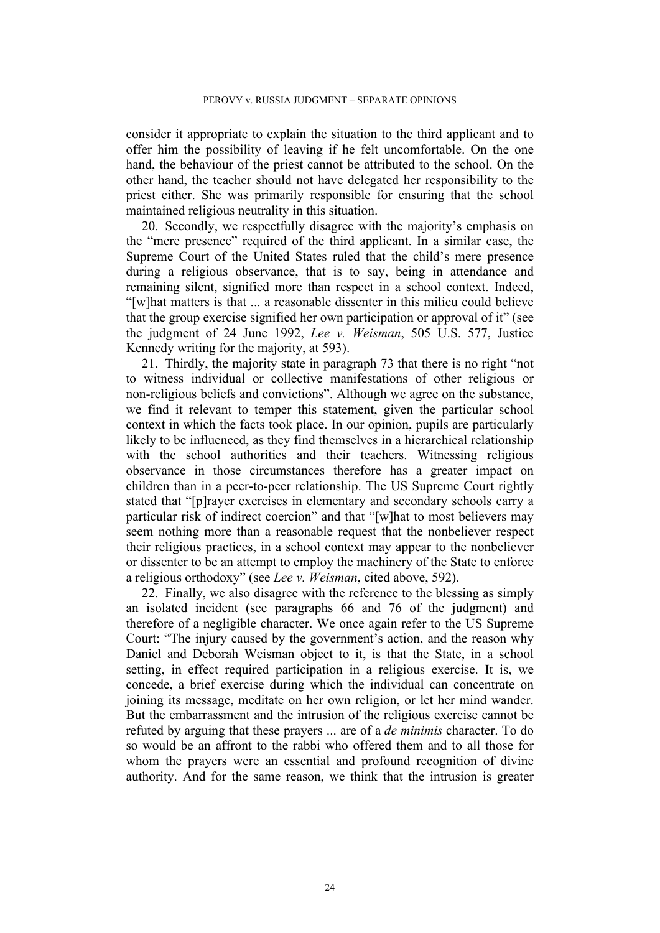consider it appropriate to explain the situation to the third applicant and to offer him the possibility of leaving if he felt uncomfortable. On the one hand, the behaviour of the priest cannot be attributed to the school. On the other hand, the teacher should not have delegated her responsibility to the priest either. She was primarily responsible for ensuring that the school maintained religious neutrality in this situation.

20. Secondly, we respectfully disagree with the majority's emphasis on the "mere presence" required of the third applicant. In a similar case, the Supreme Court of the United States ruled that the child's mere presence during a religious observance, that is to say, being in attendance and remaining silent, signified more than respect in a school context. Indeed, "[w]hat matters is that ... a reasonable dissenter in this milieu could believe that the group exercise signified her own participation or approval of it" (see the judgment of 24 June 1992, *Lee v. Weisman*, 505 U.S. 577, Justice Kennedy writing for the majority, at 593).

21. Thirdly, the majority state in paragraph 73 that there is no right "not to witness individual or collective manifestations of other religious or non-religious beliefs and convictions". Although we agree on the substance, we find it relevant to temper this statement, given the particular school context in which the facts took place. In our opinion, pupils are particularly likely to be influenced, as they find themselves in a hierarchical relationship with the school authorities and their teachers. Witnessing religious observance in those circumstances therefore has a greater impact on children than in a peer-to-peer relationship. The US Supreme Court rightly stated that "[p]rayer exercises in elementary and secondary schools carry a particular risk of indirect coercion" and that "[w]hat to most believers may seem nothing more than a reasonable request that the nonbeliever respect their religious practices, in a school context may appear to the nonbeliever or dissenter to be an attempt to employ the machinery of the State to enforce a religious orthodoxy" (see *Lee v. Weisman*, cited above, 592).

22. Finally, we also disagree with the reference to the blessing as simply an isolated incident (see paragraphs 66 and 76 of the judgment) and therefore of a negligible character. We once again refer to the US Supreme Court: "The injury caused by the government's action, and the reason why Daniel and Deborah Weisman object to it, is that the State, in a school setting, in effect required participation in a religious exercise. It is, we concede, a brief exercise during which the individual can concentrate on joining its message, meditate on her own religion, or let her mind wander. But the embarrassment and the intrusion of the religious exercise cannot be refuted by arguing that these prayers ... are of a *de minimis* character. To do so would be an affront to the rabbi who offered them and to all those for whom the prayers were an essential and profound recognition of divine authority. And for the same reason, we think that the intrusion is greater